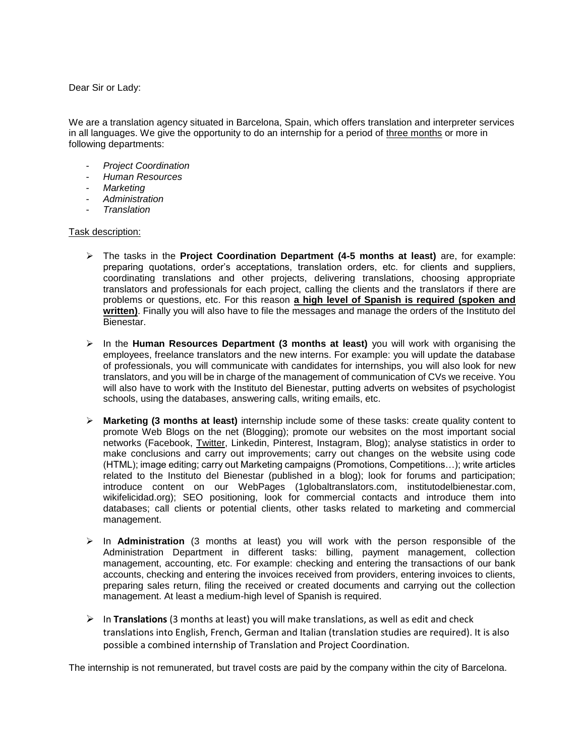Dear Sir or Lady:

We are a translation agency situated in Barcelona, Spain, which offers translation and interpreter services in all languages. We give the opportunity to do an internship for a period of three months or more in following departments:

- *Project Coordination*
- *Human Resources*
- *Marketing*
- *Administration*
- *Translation*

## Task description:

- The tasks in the **Project Coordination Department (4-5 months at least)** are, for example: preparing quotations, order's acceptations, translation orders, etc. for clients and suppliers, coordinating translations and other projects, delivering translations, choosing appropriate translators and professionals for each project, calling the clients and the translators if there are problems or questions, etc. For this reason **a high level of Spanish is required (spoken and written)**. Finally you will also have to file the messages and manage the orders of the Instituto del Bienestar.
- In the **Human Resources Department (3 months at least)** you will work with organising the employees, freelance translators and the new interns. For example: you will update the database of professionals, you will communicate with candidates for internships, you will also look for new translators, and you will be in charge of the management of communication of CVs we receive. You will also have to work with the Instituto del Bienestar, putting adverts on websites of psychologist schools, using the databases, answering calls, writing emails, etc.
- **Marketing (3 months at least)** internship include some of these tasks: create quality content to promote Web Blogs on the net (Blogging); promote our websites on the most important social networks (Facebook, Twitter, Linkedin, Pinterest, Instagram, Blog); analyse statistics in order to make conclusions and carry out improvements; carry out changes on the website using code (HTML); image editing; carry out Marketing campaigns (Promotions, Competitions…); write articles related to the Instituto del Bienestar (published in a blog); look for forums and participation; introduce content on our WebPages (1globaltranslators.com, institutodelbienestar.com, wikifelicidad.org); SEO positioning, look for commercial contacts and introduce them into databases; call clients or potential clients, other tasks related to marketing and commercial management.
- In **Administration** (3 months at least) you will work with the person responsible of the Administration Department in different tasks: billing, payment management, collection management, accounting, etc. For example: checking and entering the transactions of our bank accounts, checking and entering the invoices received from providers, entering invoices to clients, preparing sales return, filing the received or created documents and carrying out the collection management. At least a medium-high level of Spanish is required.
- $\triangleright$  In **Translations** (3 months at least) you will make translations, as well as edit and check translations into English, French, German and Italian (translation studies are required). It is also possible a combined internship of Translation and Project Coordination.

The internship is not remunerated, but travel costs are paid by the company within the city of Barcelona.